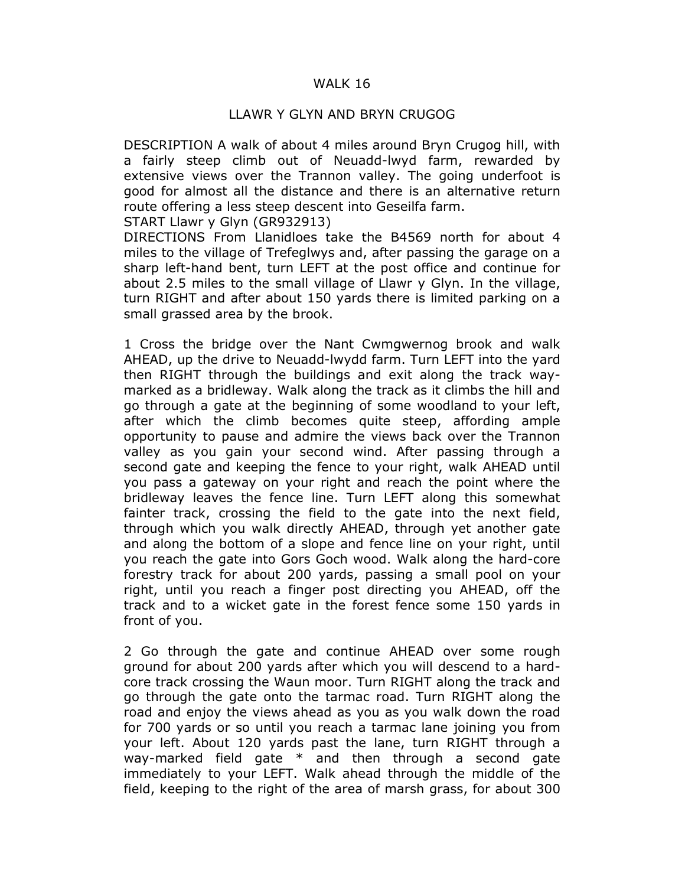## WALK 16

## LLAWR Y GLYN AND BRYN CRUGOG

DESCRIPTION A walk of about 4 miles around Bryn Crugog hill, with a fairly steep climb out of Neuadd-lwyd farm, rewarded by extensive views over the Trannon valley. The going underfoot is good for almost all the distance and there is an alternative return route offering a less steep descent into Geseilfa farm.

START Llawr y Glyn (GR932913)

DIRECTIONS From Llanidloes take the B4569 north for about 4 miles to the village of Trefeglwys and, after passing the garage on a sharp left-hand bent, turn LEFT at the post office and continue for about 2.5 miles to the small village of Llawr y Glyn. In the village, turn RIGHT and after about 150 yards there is limited parking on a small grassed area by the brook.

1 Cross the bridge over the Nant Cwmgwernog brook and walk AHEAD, up the drive to Neuadd-lwydd farm. Turn LEFT into the yard then RIGHT through the buildings and exit along the track waymarked as a bridleway. Walk along the track as it climbs the hill and go through a gate at the beginning of some woodland to your left, after which the climb becomes quite steep, affording ample opportunity to pause and admire the views back over the Trannon valley as you gain your second wind. After passing through a second gate and keeping the fence to your right, walk AHEAD until you pass a gateway on your right and reach the point where the bridleway leaves the fence line. Turn LEFT along this somewhat fainter track, crossing the field to the gate into the next field, through which you walk directly AHEAD, through yet another gate and along the bottom of a slope and fence line on your right, until you reach the gate into Gors Goch wood. Walk along the hard-core forestry track for about 200 yards, passing a small pool on your right, until you reach a finger post directing you AHEAD, off the track and to a wicket gate in the forest fence some 150 yards in front of you.

2 Go through the gate and continue AHEAD over some rough ground for about 200 yards after which you will descend to a hardcore track crossing the Waun moor. Turn RIGHT along the track and go through the gate onto the tarmac road. Turn RIGHT along the road and enjoy the views ahead as you as you walk down the road for 700 yards or so until you reach a tarmac lane joining you from your left. About 120 yards past the lane, turn RIGHT through a way-marked field gate \* and then through a second gate immediately to your LEFT. Walk ahead through the middle of the field, keeping to the right of the area of marsh grass, for about 300